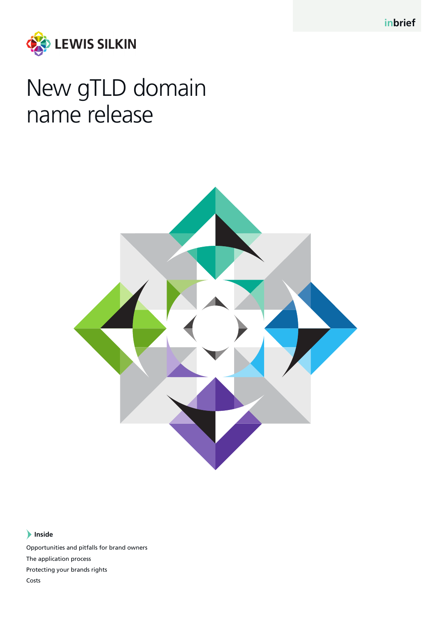**inbrief**



# New gTLD domain name release



# **Inside**

Opportunities and pitfalls for brand owners The application process Protecting your brands rights Costs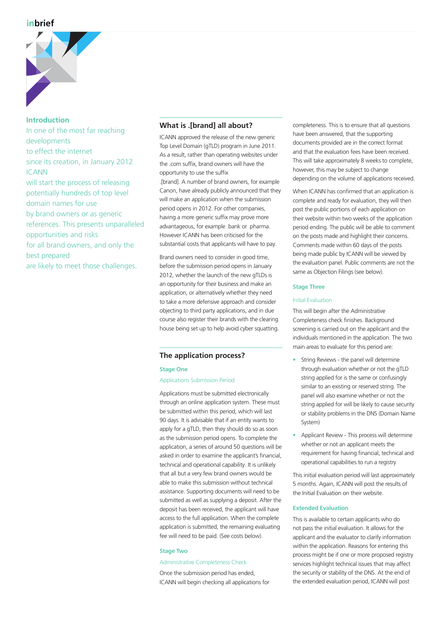# **inbrief**



**Introduction** In one of the most far reaching developments to effect the internet since its creation, in January 2012 ICANN will start the process of releasing potentially hundreds of top level domain names for use by brand owners or as generic references. This presents unparalleled opportunities and risks for all brand owners, and only the best prepared are likely to meet those challenges.

# **What is .[brand] all about?**

ICANN approved the release of the new generic Top Level Domain (gTLD) program in June 2011. As a result, rather than operating websites under the .com suffix, brand owners will have the opportunity to use the suffix

.[brand]. A number of brand owners, for example Canon, have already publicly announced that they will make an application when the submission period opens in 2012. For other companies, having a more generic suffix may prove more advantageous, for example .bank or .pharma. However ICANN has been criticised for the substantial costs that applicants will have to pay.

Brand owners need to consider in good time, before the submission period opens in January 2012, whether the launch of the new gTLDs is an opportunity for their business and make an application, or alternatively whether they need to take a more defensive approach and consider objecting to third party applications, and in due course also register their brands with the clearing house being set up to help avoid cyber squatting.

# **The application process?**

#### **Stage One**

# Applications Submission Period

Applications must be submitted electronically through an online application system. These must be submitted within this period, which will last 90 days. It is advisable that if an entity wants to apply for a gTLD, then they should do so as soon as the submission period opens. To complete the application, a series of around 50 questions will be asked in order to examine the applicant's financial, technical and operational capability. It is unlikely that all but a very few brand owners would be able to make this submission without technical assistance. Supporting documents will need to be submitted as well as supplying a deposit. After the deposit has been received, the applicant will have access to the full application. When the complete application is submitted, the remaining evaluating fee will need to be paid. (See costs below).

# **Stage Two**

#### Administrative Completeness Check

Once the submission period has ended, ICANN will begin checking all applications for

completeness. This is to ensure that all questions have been answered, that the supporting documents provided are in the correct format and that the evaluation fees have been received. This will take approximately 8 weeks to complete, however, this may be subject to change depending on the volume of applications received.

When ICANN has confirmed that an application is complete and ready for evaluation, they will then post the public portions of each application on their website within two weeks of the application period ending. The public will be able to comment on the posts made and highlight their concerns. Comments made within 60 days of the posts being made public by ICANN will be viewed by the evaluation panel. Public comments are not the same as Objection Filings (see below).

#### **Stage Three**

#### Initial Evaluation

This will begin after the Administrative Completeness check finishes. Background screening is carried out on the applicant and the individuals mentioned in the application. The two main areas to evaluate for this period are:

- String Reviews the panel will determine through evaluation whether or not the gTLD string applied for is the same or confusingly similar to an existing or reserved string. The panel will also examine whether or not the string applied for will be likely to cause security or stability problems in the DNS (Domain Name System)
- Applicant Review This process will determine whether or not an applicant meets the requirement for having financial, technical and operational capabilities to run a registry

This initial evaluation period will last approximately 5 months. Again, ICANN will post the results of the Initial Evaluation on their website.

# **Extended Evaluation**

This is available to certain applicants who do not pass the initial evaluation. It allows for the applicant and the evaluator to clarify information within the application. Reasons for entering this process might be if one or more proposed registry services highlight technical issues that may affect the security or stability of the DNS. At the end of the extended evaluation period, ICANN will post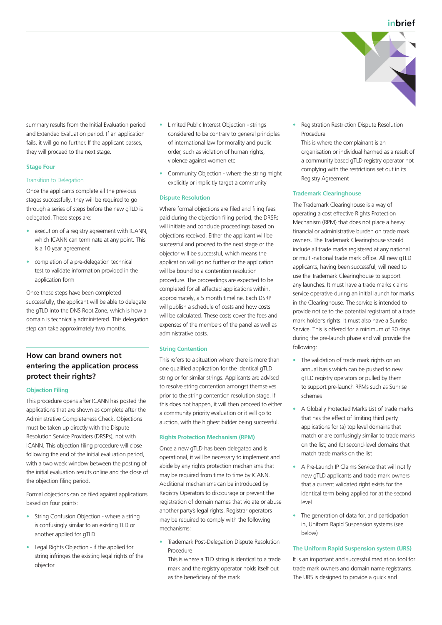summary results from the Initial Evaluation period and Extended Evaluation period. If an application fails, it will go no further. If the applicant passes, they will proceed to the next stage.

#### **Stage Four**

#### Transition to Delegation

Once the applicants complete all the previous stages successfully, they will be required to go through a series of steps before the new gTLD is delegated. These steps are:

- execution of a registry agreement with ICANN, which ICANN can terminate at any point. This is a 10 year agreement
- completion of a pre-delegation technical test to validate information provided in the application form

Once these steps have been completed successfully, the applicant will be able to delegate the gTLD into the DNS Root Zone, which is how a domain is technically administered. This delegation step can take approximately two months.

# **How can brand owners not entering the application process protect their rights?**

# **Objection Filing**

This procedure opens after ICANN has posted the applications that are shown as complete after the Administrative Completeness Check. Objections must be taken up directly with the Dispute Resolution Service Providers (DRSPs), not with ICANN. This objection filing procedure will close following the end of the initial evaluation period, with a two week window between the posting of the initial evaluation results online and the close of the objection filing period.

Formal objections can be filed against applications based on four points:

- String Confusion Objection where a string is confusingly similar to an existing TLD or another applied for gTLD
- Legal Rights Objection if the applied for string infringes the existing legal rights of the objector
- Limited Public Interest Objection strings considered to be contrary to general principles of international law for morality and public order, such as violation of human rights, violence against women etc
- Community Objection where the string might explicitly or implicitly target a community

# **Dispute Resolution**

Where formal objections are filed and filing fees paid during the objection filing period, the DRSPs will initiate and conclude proceedings based on objections received. Either the applicant will be successful and proceed to the next stage or the objector will be successful, which means the application will go no further or the application will be bound to a contention resolution procedure. The proceedings are expected to be completed for all affected applications within, approximately, a 5 month timeline. Each DSRP will publish a schedule of costs and how costs will be calculated. These costs cover the fees and expenses of the members of the panel as well as administrative costs.

# **String Contention**

This refers to a situation where there is more than one qualified application for the identical gTLD string or for similar strings. Applicants are advised to resolve string contention amongst themselves prior to the string contention resolution stage. If this does not happen, it will then proceed to either a community priority evaluation or it will go to auction, with the highest bidder being successful.

# **Rights Protection Mechanism (RPM)**

Once a new gTLD has been delegated and is operational, it will be necessary to implement and abide by any rights protection mechanisms that may be required from time to time by ICANN. Additional mechanisms can be introduced by Registry Operators to discourage or prevent the registration of domain names that violate or abuse another party's legal rights. Registrar operators may be required to comply with the following mechanisms:

• Trademark Post-Delegation Dispute Resolution Procedure

This is where a TLD string is identical to a trade mark and the registry operator holds itself out as the beneficiary of the mark

• Registration Restriction Dispute Resolution Procedure

This is where the complainant is an organisation or individual harmed as a result of a community based gTLD registry operator not complying with the restrictions set out in its Registry Agreement

# **Trademark Clearinghouse**

The Trademark Clearinghouse is a way of operating a cost effective Rights Protection Mechanism (RPM) that does not place a heavy financial or administrative burden on trade mark owners. The Trademark Clearinghouse should include all trade marks registered at any national or multi-national trade mark office. All new gTLD applicants, having been successful, will need to use the Trademark Clearinghouse to support any launches. It must have a trade marks claims service operative during an initial launch for marks in the Clearinghouse. The service is intended to provide notice to the potential registrant of a trade mark holder's rights. It must also have a Sunrise Service. This is offered for a minimum of 30 days during the pre-launch phase and will provide the following:

- The validation of trade mark rights on an annual basis which can be pushed to new gTLD registry operators or pulled by them to support pre-launch RPMs such as Sunrise schemes
- A Globally Protected Marks List of trade marks that has the effect of limiting third party applications for (a) top level domains that match or are confusingly similar to trade marks on the list; and (b) second-level domains that match trade marks on the list
- A Pre-Launch IP Claims Service that will notify new gTLD applicants and trade mark owners that a current validated right exists for the identical term being applied for at the second level
- The generation of data for, and participation in, Uniform Rapid Suspension systems (see below)

#### **The Uniform Rapid Suspension system (URS)**

It is an important and successful mediation tool for trade mark owners and domain name registrants. The URS is designed to provide a quick and